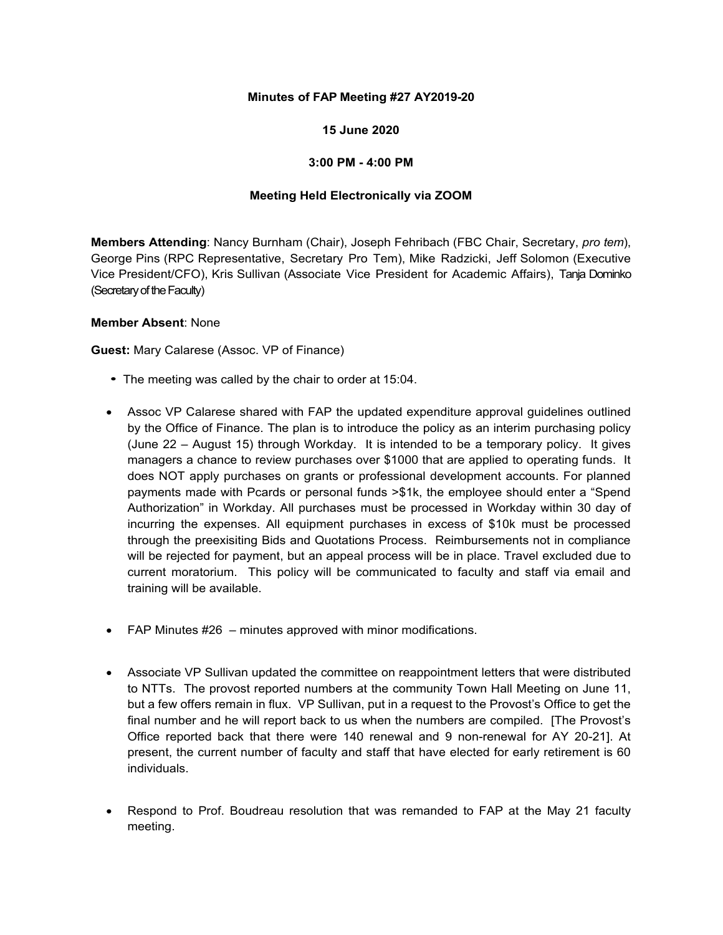# **Minutes of FAP Meeting #27 AY2019-20**

# **15 June 2020**

## **3:00 PM - 4:00 PM**

### **Meeting Held Electronically via ZOOM**

**Members Attending**: Nancy Burnham (Chair), Joseph Fehribach (FBC Chair, Secretary, *pro tem*), George Pins (RPC Representative, Secretary Pro Tem), Mike Radzicki, Jeff Solomon (Executive Vice President/CFO), Kris Sullivan (Associate Vice President for Academic Affairs), Tanja Dominko (Secretary of the Faculty)

#### **Member Absent**: None

**Guest:** Mary Calarese (Assoc. VP of Finance)

- *•* The meeting was called by the chair to order at 15:04.
- Assoc VP Calarese shared with FAP the updated expenditure approval guidelines outlined by the Office of Finance. The plan is to introduce the policy as an interim purchasing policy (June 22 – August 15) through Workday. It is intended to be a temporary policy. It gives managers a chance to review purchases over \$1000 that are applied to operating funds. It does NOT apply purchases on grants or professional development accounts. For planned payments made with Pcards or personal funds >\$1k, the employee should enter a "Spend Authorization" in Workday. All purchases must be processed in Workday within 30 day of incurring the expenses. All equipment purchases in excess of \$10k must be processed through the preexisiting Bids and Quotations Process. Reimbursements not in compliance will be rejected for payment, but an appeal process will be in place. Travel excluded due to current moratorium. This policy will be communicated to faculty and staff via email and training will be available.
- FAP Minutes #26 minutes approved with minor modifications.
- Associate VP Sullivan updated the committee on reappointment letters that were distributed to NTTs. The provost reported numbers at the community Town Hall Meeting on June 11, but a few offers remain in flux. VP Sullivan, put in a request to the Provost's Office to get the final number and he will report back to us when the numbers are compiled. [The Provost's Office reported back that there were 140 renewal and 9 non-renewal for AY 20-21]. At present, the current number of faculty and staff that have elected for early retirement is 60 individuals.
- Respond to Prof. Boudreau resolution that was remanded to FAP at the May 21 faculty meeting.